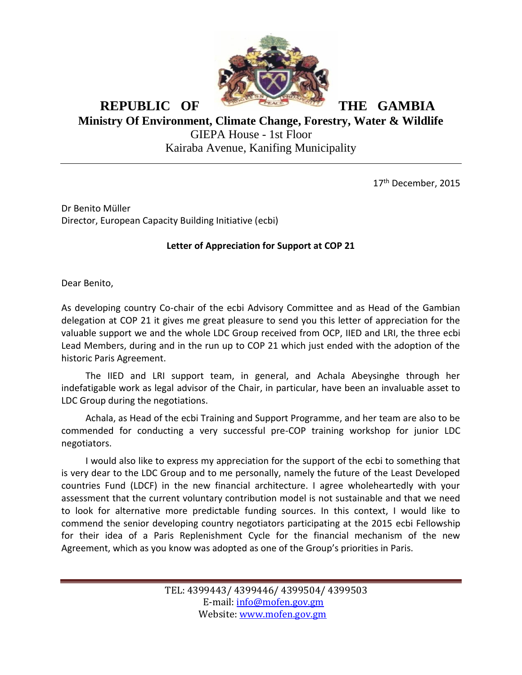

## **REPUBLIC OF THE GAMBIA Ministry Of Environment, Climate Change, Forestry, Water & Wildlife** GIEPA House - 1st Floor Kairaba Avenue, Kanifing Municipality

17<sup>th</sup> December, 2015

Dr Benito Müller Director, European Capacity Building Initiative (ecbi)

## **Letter of Appreciation for Support at COP 21**

Dear Benito,

As developing country Co-chair of the ecbi Advisory Committee and as Head of the Gambian delegation at COP 21 it gives me great pleasure to send you this letter of appreciation for the valuable support we and the whole LDC Group received from OCP, IIED and LRI, the three ecbi Lead Members, during and in the run up to COP 21 which just ended with the adoption of the historic Paris Agreement.

The IIED and LRI support team, in general, and Achala Abeysinghe through her indefatigable work as legal advisor of the Chair, in particular, have been an invaluable asset to LDC Group during the negotiations.

Achala, as Head of the ecbi Training and Support Programme, and her team are also to be commended for conducting a very successful pre-COP training workshop for junior LDC negotiators.

I would also like to express my appreciation for the support of the ecbi to something that is very dear to the LDC Group and to me personally, namely the future of the Least Developed countries Fund (LDCF) in the new financial architecture. I agree wholeheartedly with your assessment that the current voluntary contribution model is not sustainable and that we need to look for alternative more predictable funding sources. In this context, I would like to commend the senior developing country negotiators participating at the 2015 ecbi Fellowship for their idea of a Paris Replenishment Cycle for the financial mechanism of the new Agreement, which as you know was adopted as one of the Group's priorities in Paris.